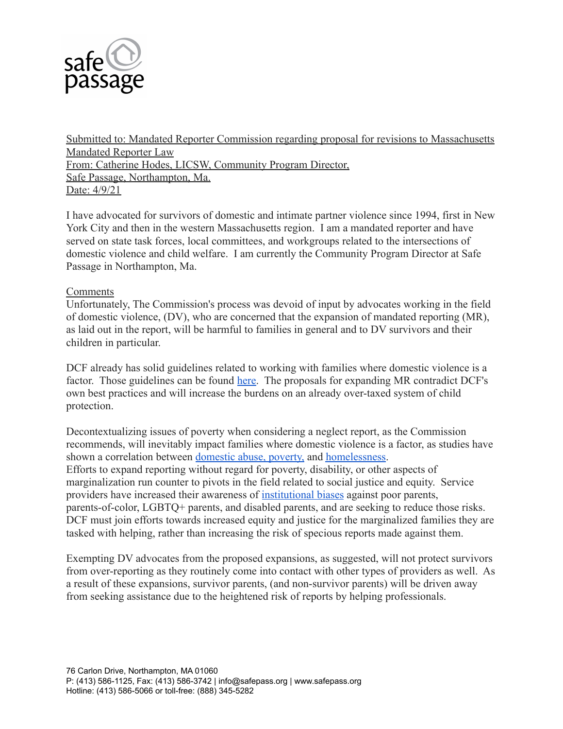

Submitted to: Mandated Reporter Commission regarding proposal for revisions to Massachusetts Mandated Reporter Law From: Catherine Hodes, LICSW, Community Program Director, Safe Passage, Northampton, Ma. Date: 4/9/21

I have advocated for survivors of domestic and intimate partner violence since 1994, first in New York City and then in the western Massachusetts region. I am a mandated reporter and have served on state task forces, local committees, and workgroups related to the intersections of domestic violence and child welfare. I am currently the Community Program Director at Safe Passage in Northampton, Ma.

## **Comments**

Unfortunately, The Commission's process was devoid of input by advocates working in the field of domestic violence, (DV), who are concerned that the expansion of mandated reporting (MR), as laid out in the report, will be harmful to families in general and to DV survivors and their children in particular.

DCF already has solid guidelines related to working with families where domestic violence is a factor. Those guidelines can be found [here.](https://www.masslegalhelp.org/domestic-violence/promising-approaches.pdf) The proposals for expanding MR contradict DCF's own best practices and will increase the burdens on an already over-taxed system of child protection.

Decontextualizing issues of poverty when considering a neglect report, as the Commission recommends, will inevitably impact families where domestic violence is a factor, as studies have shown a correlation between [domestic abuse, poverty,](https://www.researchgate.net/profile/Ilze-Slabbert/publication/306002724_Domestic_Violence_and_Poverty_Some_Womens_Experiences/links/5c495b53458515a4c73c5837/Domestic-Violence-and-Poverty-Some-Womens-Experiences.pdf) and [homelessness.](https://www.aclu.org/sites/default/files/pdfs/dvhomelessness032106.pdf) Efforts to expand reporting without regard for poverty, disability, or other aspects of marginalization run counter to pivots in the field related to social justice and equity. Service providers have increased their awareness of [institutional](https://www.pbs.org/wgbh/pages/frontline/shows/fostercare/caseworker/roberts.html) biases against poor parents, parents-of-color, LGBTQ+ parents, and disabled parents, and are seeking to reduce those risks. DCF must join efforts towards increased equity and justice for the marginalized families they are tasked with helping, rather than increasing the risk of specious reports made against them.

Exempting DV advocates from the proposed expansions, as suggested, will not protect survivors from over-reporting as they routinely come into contact with other types of providers as well. As a result of these expansions, survivor parents, (and non-survivor parents) will be driven away from seeking assistance due to the heightened risk of reports by helping professionals.